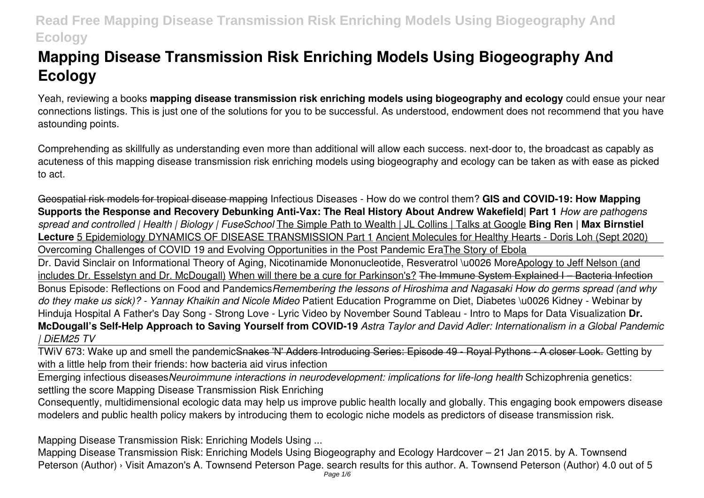# **Mapping Disease Transmission Risk Enriching Models Using Biogeography And Ecology**

Yeah, reviewing a books **mapping disease transmission risk enriching models using biogeography and ecology** could ensue your near connections listings. This is just one of the solutions for you to be successful. As understood, endowment does not recommend that you have astounding points.

Comprehending as skillfully as understanding even more than additional will allow each success. next-door to, the broadcast as capably as acuteness of this mapping disease transmission risk enriching models using biogeography and ecology can be taken as with ease as picked to act.

Geospatial risk models for tropical disease mapping Infectious Diseases - How do we control them? **GIS and COVID-19: How Mapping Supports the Response and Recovery Debunking Anti-Vax: The Real History About Andrew Wakefield| Part 1** *How are pathogens spread and controlled | Health | Biology | FuseSchool* The Simple Path to Wealth | JL Collins | Talks at Google **Bing Ren | Max Birnstiel Lecture** 5 Epidemiology DYNAMICS OF DISEASE TRANSMISSION Part 1 Ancient Molecules for Healthy Hearts - Doris Loh (Sept 2020) Overcoming Challenges of COVID 19 and Evolving Opportunities in the Post Pandemic EraThe Story of Ebola

Dr. David Sinclair on Informational Theory of Aging, Nicotinamide Mononucleotide, Resveratrol \u0026 MoreApology to Jeff Nelson (and includes Dr. Esselstyn and Dr. McDougall) When will there be a cure for Parkinson's? The Immune System Explained I – Bacteria Infection

Bonus Episode: Reflections on Food and Pandemics*Remembering the lessons of Hiroshima and Nagasaki How do germs spread (and why do they make us sick)? - Yannay Khaikin and Nicole Mideo* Patient Education Programme on Diet, Diabetes \u0026 Kidney - Webinar by Hinduja Hospital A Father's Day Song - Strong Love - Lyric Video by November Sound Tableau - Intro to Maps for Data Visualization **Dr. McDougall's Self-Help Approach to Saving Yourself from COVID-19** *Astra Taylor and David Adler: Internationalism in a Global Pandemic | DiEM25 TV*

TWiV 673: Wake up and smell the pandemicSnakes 'N' Adders Introducing Series: Episode 49 - Royal Pythons - A closer Look. Getting by with a little help from their friends: how bacteria aid virus infection

Emerging infectious diseases*Neuroimmune interactions in neurodevelopment: implications for life-long health* Schizophrenia genetics: settling the score Mapping Disease Transmission Risk Enriching

Consequently, multidimensional ecologic data may help us improve public health locally and globally. This engaging book empowers disease modelers and public health policy makers by introducing them to ecologic niche models as predictors of disease transmission risk.

Mapping Disease Transmission Risk: Enriching Models Using ...

Mapping Disease Transmission Risk: Enriching Models Using Biogeography and Ecology Hardcover – 21 Jan 2015. by A. Townsend Peterson (Author) › Visit Amazon's A. Townsend Peterson Page. search results for this author. A. Townsend Peterson (Author) 4.0 out of 5 Page 1/6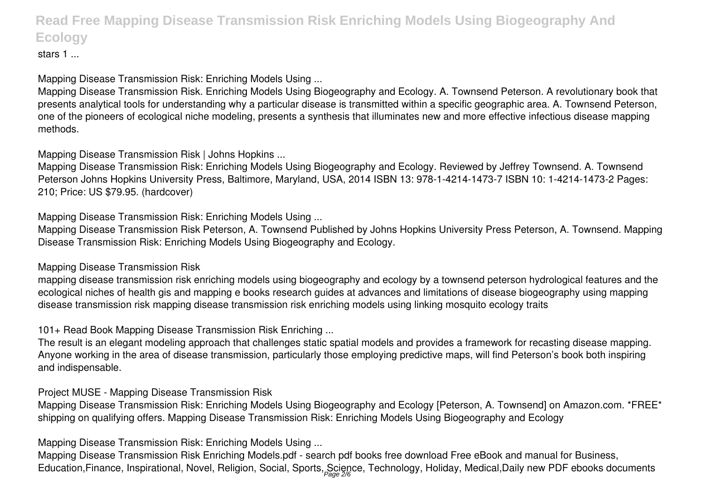stars 1 ...

Mapping Disease Transmission Risk: Enriching Models Using ...

Mapping Disease Transmission Risk. Enriching Models Using Biogeography and Ecology. A. Townsend Peterson. A revolutionary book that presents analytical tools for understanding why a particular disease is transmitted within a specific geographic area. A. Townsend Peterson, one of the pioneers of ecological niche modeling, presents a synthesis that illuminates new and more effective infectious disease mapping methods.

Mapping Disease Transmission Risk | Johns Hopkins ...

Mapping Disease Transmission Risk: Enriching Models Using Biogeography and Ecology. Reviewed by Jeffrey Townsend. A. Townsend Peterson Johns Hopkins University Press, Baltimore, Maryland, USA, 2014 ISBN 13: 978-1-4214-1473-7 ISBN 10: 1-4214-1473-2 Pages: 210; Price: US \$79.95. (hardcover)

Mapping Disease Transmission Risk: Enriching Models Using ...

Mapping Disease Transmission Risk Peterson, A. Townsend Published by Johns Hopkins University Press Peterson, A. Townsend. Mapping Disease Transmission Risk: Enriching Models Using Biogeography and Ecology.

Mapping Disease Transmission Risk

mapping disease transmission risk enriching models using biogeography and ecology by a townsend peterson hydrological features and the ecological niches of health gis and mapping e books research guides at advances and limitations of disease biogeography using mapping disease transmission risk mapping disease transmission risk enriching models using linking mosquito ecology traits

101+ Read Book Mapping Disease Transmission Risk Enriching ...

The result is an elegant modeling approach that challenges static spatial models and provides a framework for recasting disease mapping. Anyone working in the area of disease transmission, particularly those employing predictive maps, will find Peterson's book both inspiring and indispensable.

Project MUSE - Mapping Disease Transmission Risk

Mapping Disease Transmission Risk: Enriching Models Using Biogeography and Ecology [Peterson, A. Townsend] on Amazon.com. \*FREE\* shipping on qualifying offers. Mapping Disease Transmission Risk: Enriching Models Using Biogeography and Ecology

Mapping Disease Transmission Risk: Enriching Models Using ...

Mapping Disease Transmission Risk Enriching Models.pdf - search pdf books free download Free eBook and manual for Business, Education,Finance, Inspirational, Novel, Religion, Social, Sports, Science, Technology, Holiday, Medical,Daily new PDF ebooks documents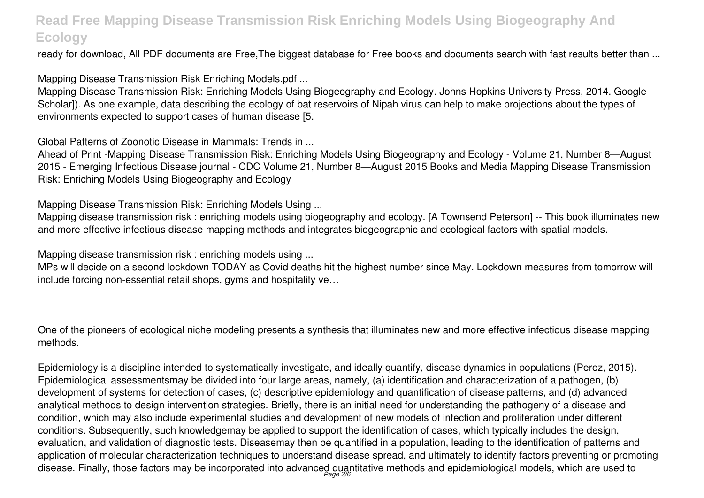ready for download, All PDF documents are Free,The biggest database for Free books and documents search with fast results better than ...

Mapping Disease Transmission Risk Enriching Models.pdf ...

Mapping Disease Transmission Risk: Enriching Models Using Biogeography and Ecology. Johns Hopkins University Press, 2014. Google Scholar]). As one example, data describing the ecology of bat reservoirs of Nipah virus can help to make projections about the types of environments expected to support cases of human disease [5.

Global Patterns of Zoonotic Disease in Mammals: Trends in ...

Ahead of Print -Mapping Disease Transmission Risk: Enriching Models Using Biogeography and Ecology - Volume 21, Number 8—August 2015 - Emerging Infectious Disease journal - CDC Volume 21, Number 8—August 2015 Books and Media Mapping Disease Transmission Risk: Enriching Models Using Biogeography and Ecology

Mapping Disease Transmission Risk: Enriching Models Using ...

Mapping disease transmission risk : enriching models using biogeography and ecology. [A Townsend Peterson] -- This book illuminates new and more effective infectious disease mapping methods and integrates biogeographic and ecological factors with spatial models.

Mapping disease transmission risk : enriching models using ...

MPs will decide on a second lockdown TODAY as Covid deaths hit the highest number since May. Lockdown measures from tomorrow will include forcing non-essential retail shops, gyms and hospitality ve…

One of the pioneers of ecological niche modeling presents a synthesis that illuminates new and more effective infectious disease mapping methods.

Epidemiology is a discipline intended to systematically investigate, and ideally quantify, disease dynamics in populations (Perez, 2015). Epidemiological assessmentsmay be divided into four large areas, namely, (a) identification and characterization of a pathogen, (b) development of systems for detection of cases, (c) descriptive epidemiology and quantification of disease patterns, and (d) advanced analytical methods to design intervention strategies. Briefly, there is an initial need for understanding the pathogeny of a disease and condition, which may also include experimental studies and development of new models of infection and proliferation under different conditions. Subsequently, such knowledgemay be applied to support the identification of cases, which typically includes the design, evaluation, and validation of diagnostic tests. Diseasemay then be quantified in a population, leading to the identification of patterns and application of molecular characterization techniques to understand disease spread, and ultimately to identify factors preventing or promoting disease. Finally, those factors may be incorporated into advanced quantitative methods and epidemiological models, which are used to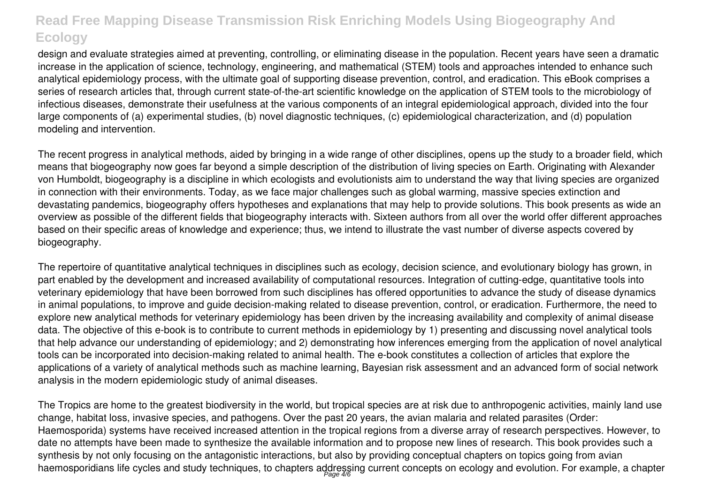design and evaluate strategies aimed at preventing, controlling, or eliminating disease in the population. Recent years have seen a dramatic increase in the application of science, technology, engineering, and mathematical (STEM) tools and approaches intended to enhance such analytical epidemiology process, with the ultimate goal of supporting disease prevention, control, and eradication. This eBook comprises a series of research articles that, through current state-of-the-art scientific knowledge on the application of STEM tools to the microbiology of infectious diseases, demonstrate their usefulness at the various components of an integral epidemiological approach, divided into the four large components of (a) experimental studies, (b) novel diagnostic techniques, (c) epidemiological characterization, and (d) population modeling and intervention.

The recent progress in analytical methods, aided by bringing in a wide range of other disciplines, opens up the study to a broader field, which means that biogeography now goes far beyond a simple description of the distribution of living species on Earth. Originating with Alexander von Humboldt, biogeography is a discipline in which ecologists and evolutionists aim to understand the way that living species are organized in connection with their environments. Today, as we face major challenges such as global warming, massive species extinction and devastating pandemics, biogeography offers hypotheses and explanations that may help to provide solutions. This book presents as wide an overview as possible of the different fields that biogeography interacts with. Sixteen authors from all over the world offer different approaches based on their specific areas of knowledge and experience; thus, we intend to illustrate the vast number of diverse aspects covered by biogeography.

The repertoire of quantitative analytical techniques in disciplines such as ecology, decision science, and evolutionary biology has grown, in part enabled by the development and increased availability of computational resources. Integration of cutting-edge, quantitative tools into veterinary epidemiology that have been borrowed from such disciplines has offered opportunities to advance the study of disease dynamics in animal populations, to improve and guide decision-making related to disease prevention, control, or eradication. Furthermore, the need to explore new analytical methods for veterinary epidemiology has been driven by the increasing availability and complexity of animal disease data. The objective of this e-book is to contribute to current methods in epidemiology by 1) presenting and discussing novel analytical tools that help advance our understanding of epidemiology; and 2) demonstrating how inferences emerging from the application of novel analytical tools can be incorporated into decision-making related to animal health. The e-book constitutes a collection of articles that explore the applications of a variety of analytical methods such as machine learning, Bayesian risk assessment and an advanced form of social network analysis in the modern epidemiologic study of animal diseases.

The Tropics are home to the greatest biodiversity in the world, but tropical species are at risk due to anthropogenic activities, mainly land use change, habitat loss, invasive species, and pathogens. Over the past 20 years, the avian malaria and related parasites (Order: Haemosporida) systems have received increased attention in the tropical regions from a diverse array of research perspectives. However, to date no attempts have been made to synthesize the available information and to propose new lines of research. This book provides such a synthesis by not only focusing on the antagonistic interactions, but also by providing conceptual chapters on topics going from avian haemosporidians life cycles and study techniques, to chapters addressing current concepts on ecology and evolution. For example, a chapter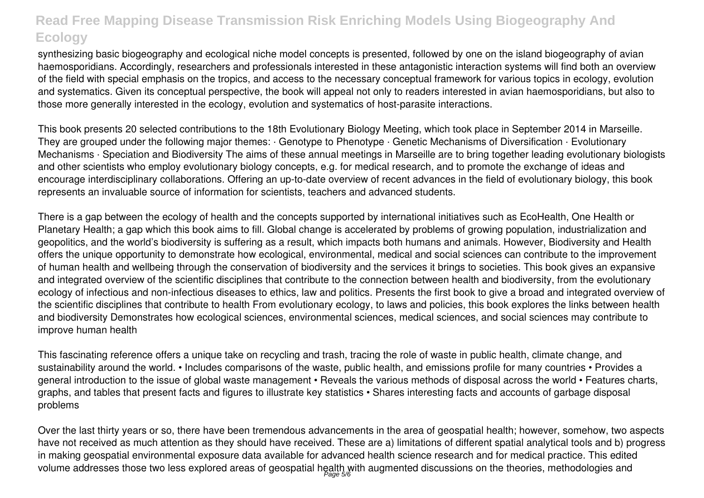synthesizing basic biogeography and ecological niche model concepts is presented, followed by one on the island biogeography of avian haemosporidians. Accordingly, researchers and professionals interested in these antagonistic interaction systems will find both an overview of the field with special emphasis on the tropics, and access to the necessary conceptual framework for various topics in ecology, evolution and systematics. Given its conceptual perspective, the book will appeal not only to readers interested in avian haemosporidians, but also to those more generally interested in the ecology, evolution and systematics of host-parasite interactions.

This book presents 20 selected contributions to the 18th Evolutionary Biology Meeting, which took place in September 2014 in Marseille. They are grouped under the following major themes: · Genotype to Phenotype · Genetic Mechanisms of Diversification · Evolutionary Mechanisms · Speciation and Biodiversity The aims of these annual meetings in Marseille are to bring together leading evolutionary biologists and other scientists who employ evolutionary biology concepts, e.g. for medical research, and to promote the exchange of ideas and encourage interdisciplinary collaborations. Offering an up-to-date overview of recent advances in the field of evolutionary biology, this book represents an invaluable source of information for scientists, teachers and advanced students.

There is a gap between the ecology of health and the concepts supported by international initiatives such as EcoHealth, One Health or Planetary Health; a gap which this book aims to fill. Global change is accelerated by problems of growing population, industrialization and geopolitics, and the world's biodiversity is suffering as a result, which impacts both humans and animals. However, Biodiversity and Health offers the unique opportunity to demonstrate how ecological, environmental, medical and social sciences can contribute to the improvement of human health and wellbeing through the conservation of biodiversity and the services it brings to societies. This book gives an expansive and integrated overview of the scientific disciplines that contribute to the connection between health and biodiversity, from the evolutionary ecology of infectious and non-infectious diseases to ethics, law and politics. Presents the first book to give a broad and integrated overview of the scientific disciplines that contribute to health From evolutionary ecology, to laws and policies, this book explores the links between health and biodiversity Demonstrates how ecological sciences, environmental sciences, medical sciences, and social sciences may contribute to improve human health

This fascinating reference offers a unique take on recycling and trash, tracing the role of waste in public health, climate change, and sustainability around the world. • Includes comparisons of the waste, public health, and emissions profile for many countries • Provides a general introduction to the issue of global waste management • Reveals the various methods of disposal across the world • Features charts, graphs, and tables that present facts and figures to illustrate key statistics • Shares interesting facts and accounts of garbage disposal problems

Over the last thirty years or so, there have been tremendous advancements in the area of geospatial health; however, somehow, two aspects have not received as much attention as they should have received. These are a) limitations of different spatial analytical tools and b) progress in making geospatial environmental exposure data available for advanced health science research and for medical practice. This edited volume addresses those two less explored areas of geospatial health with augmented discussions on the theories, methodologies and